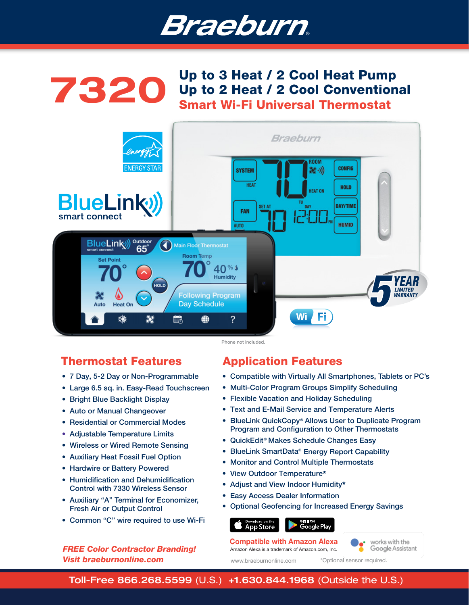



# Thermostat Features

- 7 Day, 5-2 Day or Non-Programmable
- Large 6.5 sq. in. Easy-Read Touchscreen
- Bright Blue Backlight Display
- Auto or Manual Changeover
- Residential or Commercial Modes
- Adjustable Temperature Limits
- Wireless or Wired Remote Sensing
- Auxiliary Heat Fossil Fuel Option
- Hardwire or Battery Powered
- Humidification and Dehumidification Control with 7330 Wireless Sensor
- Auxiliary "A" Terminal for Economizer, Fresh Air or Output Control
- Common "C" wire required to use Wi-Fi

### *FREE Color Contractor Branding! Visit braeburnonline.com*

# Application Features

- Compatible with Virtually All Smartphones, Tablets or PC's
- Multi-Color Program Groups Simplify Scheduling
- Flexible Vacation and Holiday Scheduling
- Text and E-Mail Service and Temperature Alerts
- BlueLink QuickCopy<sup>®</sup> Allows User to Duplicate Program Program and Configuration to Other Thermostats
- QuickEdit<sup>®</sup> Makes Schedule Changes Easy
- BlueLink SmartData® Energy Report Capability
- Monitor and Control Multiple Thermostats
- View Outdoor Temperature\*
- Adjust and View Indoor Humidity\*
- Easy Access Dealer Information
- Optional Geofencing for Increased Energy Savings

### Google Play

Amazon Alexa is a trademark of Amazon.com, Inc. Compatible with Amazon Alexa

works with the Google Assistant

www.braeburnonline.com

**App Store** 

\*Optional sensor required.

Toll-Free 866.268.5599 (U.S.) +1.630.844.1968 (Outside the U.S.)